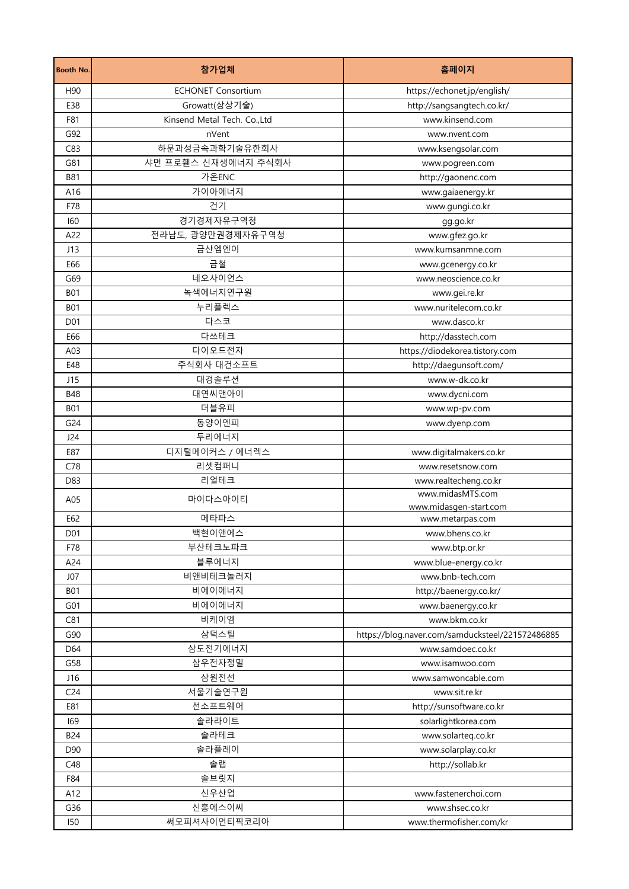| <b>Booth No.</b> | 참가업체                        | 홈페이지                                             |
|------------------|-----------------------------|--------------------------------------------------|
| H90              | <b>ECHONET Consortium</b>   | https://echonet.jp/english/                      |
| E38              | Growatt(상상기술)               | http://sangsangtech.co.kr/                       |
| F81              | Kinsend Metal Tech. Co.,Ltd | www.kinsend.com                                  |
| G92              | nVent                       | www.nvent.com                                    |
| C83              | 하문과성금속과학기술유한회사              | www.ksengsolar.com                               |
| G81              | 샤먼 프로휀스 신재생에너지 주식회사         | www.pogreen.com                                  |
| <b>B81</b>       | 가온ENC                       | http://gaonenc.com                               |
| A16              | 가이아에너지                      | www.gaiaenergy.kr                                |
| F78              | 건기                          | www.gungi.co.kr                                  |
| 160              | 경기경제자유구역청                   | gg.go.kr                                         |
| A22              | 전라남도, 광양만권경제자유구역청           | www.gfez.go.kr                                   |
| J13              | 금산엠엔이                       | www.kumsanmne.com                                |
| E66              | 금철                          | www.gcenergy.co.kr                               |
| G69              | 네오사이언스                      | www.neoscience.co.kr                             |
| <b>B01</b>       | 녹색에너지연구원                    | www.gei.re.kr                                    |
| <b>B01</b>       | _<br>누리플렉스                  | www.nuritelecom.co.kr                            |
| D01              | 다스코                         | www.dasco.kr                                     |
| E66              | 다쓰테크                        | http://dasstech.com                              |
| A03              | 다이오드전자                      | https://diodekorea.tistory.com                   |
| E48              | 주식회사 대건소프트                  | http://daegunsoft.com/                           |
| J15              | 대경솔루션                       | www.w-dk.co.kr                                   |
| <b>B48</b>       | 대연씨앤아이                      | www.dycni.com                                    |
| <b>B01</b>       | _<br>더블유피                   | www.wp-pv.com                                    |
| G24              | 동양이엔피                       | www.dyenp.com                                    |
| J24              | 두리에너지                       |                                                  |
| E87              | 디지털메이커스 / 에너렉스              | www.digitalmakers.co.kr                          |
| C78              | 리셋컴퍼니                       | www.resetsnow.com                                |
| D83              | 리얼테크                        | www.realtecheng.co.kr                            |
| A05              | 마이다스아이티                     | www.midasMTS.com                                 |
|                  |                             | www.midasgen-start.com                           |
| E62              | 메타파스                        | www.metarpas.com                                 |
| D01              | 백현이앤에스                      | www.bhens.co.kr                                  |
| F78              | 부산테크노파크                     | www.btp.or.kr                                    |
| A24              | 블루에너지                       | www.blue-energy.co.kr                            |
| J07              | 비앤비테크놀러지                    | www.bnb-tech.com                                 |
| <b>B01</b>       | 비에이에너지                      | http://baenergy.co.kr/                           |
| G01              | 비에이에너지                      | www.baenergy.co.kr                               |
| C81              | 비케이엠                        | www.bkm.co.kr                                    |
| G90              | 삼덕스틸                        | https://blog.naver.com/samducksteel/221572486885 |
| D64              | 삼도전기에너지                     | www.samdoec.co.kr                                |
| G58              | 삼우전자정밀                      | www.isamwoo.com                                  |
| J16              | 삼원전선                        | www.samwoncable.com                              |
| C <sub>24</sub>  | 서울기술연구원                     | www.sit.re.kr                                    |
| E81              | 선소프트웨어                      | http://sunsoftware.co.kr                         |
| 169              | 솔라라이트                       | solarlightkorea.com                              |
| <b>B24</b>       | 솔라테크                        | www.solarteg.co.kr                               |
| D90              | 솔라플레이                       | www.solarplay.co.kr                              |
| C48              | 솔랩                          | http://sollab.kr                                 |
| F84              | 솔브릿지                        |                                                  |
| A12              | 신우산업                        | www.fastenerchoi.com                             |
| G36              | 신흥에스이씨                      | www.shsec.co.kr                                  |
| 150              | 써모피셔사이언티픽코리아                | www.thermofisher.com/kr                          |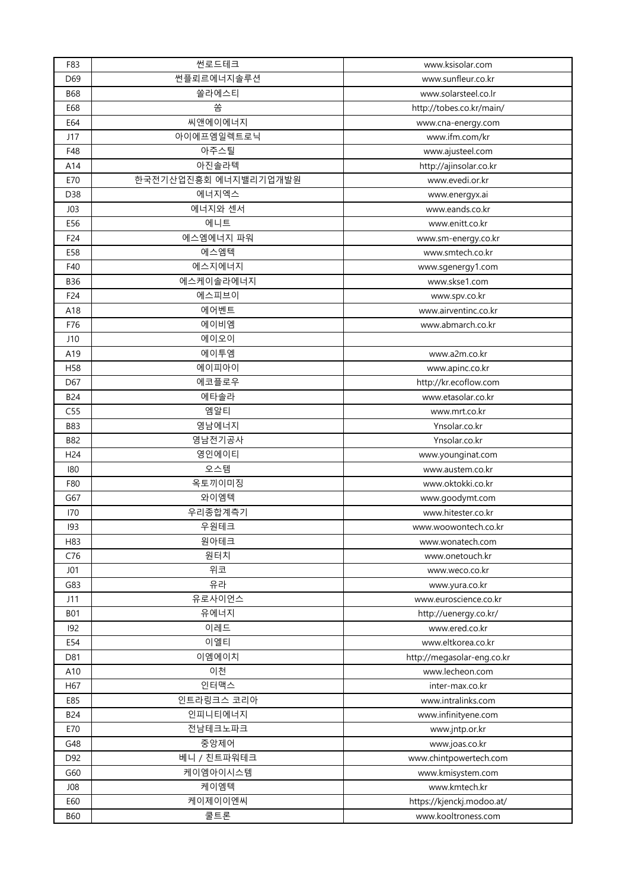| F83             | 썬로드테크                | www.ksisolar.com           |
|-----------------|----------------------|----------------------------|
| D69             | 썬플뢰르에너지솔루션           | www.sunfleur.co.kr         |
| <b>B68</b>      | 쏠라에스티                | www.solarsteel.co.lr       |
| E68             | 쏨                    | http://tobes.co.kr/main/   |
| E64             | 씨앤에이에너지              | www.cna-energy.com         |
| J17             | 아이에프엠일렉트로닉           | www.ifm.com/kr             |
| F48             | 아주스틸                 | www.ajusteel.com           |
| A14             | 아진솔라텍                | http://ajinsolar.co.kr     |
| E70             | 한국전기산업진흥회 에너지밸리기업개발원 | www.evedi.or.kr            |
| D38             | 에너지엑스                | www.energyx.ai             |
| J03             | 에너지와 센서              | www.eands.co.kr            |
| E56             | 에니트                  | www.enitt.co.kr            |
| F24             | 에스엠에너지 파워            | www.sm-energy.co.kr        |
| E58             | 에스엠텍                 | www.smtech.co.kr           |
| F40             | 에스지에너지               | www.sgenergy1.com          |
| <b>B36</b>      | 에스케이솔라에너지            | www.skse1.com              |
| F24             | 에스피브이                | www.spv.co.kr              |
| A18             | 에어벤트                 | www.airventinc.co.kr       |
| F76             | 에이비엠                 | www.abmarch.co.kr          |
| J10             | 에이오이                 |                            |
| A19             | 에이투엠                 | www.a2m.co.kr              |
| H <sub>58</sub> | 에이피아이                | www.apinc.co.kr            |
| D67             | 에코플로우                | http://kr.ecoflow.com      |
| <b>B24</b>      | 에타솔라                 | www.etasolar.co.kr         |
| C55             | 엠알티                  | www.mrt.co.kr              |
| <b>B83</b>      | 영남에너지                | Ynsolar.co.kr              |
| <b>B82</b>      | 영남전기공사               | Ynsolar.co.kr              |
| H <sub>24</sub> | 영인에이티                | www.younginat.com          |
| 180             | 오스템                  | www.austem.co.kr           |
| F80             | 옥토끼이미징               | www.oktokki.co.kr          |
| G67             | 와이엠텍                 | www.goodymt.com            |
| 170             | 우리종합계측기              | www.hitester.co.kr         |
| 193             | 우원테크                 | www.woowontech.co.kr       |
| H83             | 원아테크                 | www.wonatech.com           |
| C76             | 원터치                  | www.onetouch.kr            |
| J <sub>01</sub> | 위코                   | www.weco.co.kr             |
| G83             | 유라                   | www.yura.co.kr             |
| J11             | 유로사이언스               | www.euroscience.co.kr      |
| <b>B01</b>      | 유에너지                 | http://uenergy.co.kr/      |
| 192             | 이레드                  | www.ered.co.kr             |
| E54             | 이엘티                  | www.eltkorea.co.kr         |
| D81             | 이엠에이치                | http://megasolar-eng.co.kr |
| A10             | 이천                   | www.lecheon.com            |
| H67             | 인터맥스                 | inter-max.co.kr            |
| E85             | 인트라링크스 코리아           | www.intralinks.com         |
| <b>B24</b>      | 인피니티에너지              | www.infinityene.com        |
| E70             | 전남테크노파크              | www.jntp.or.kr             |
| G48             | 중앙제어                 | www.joas.co.kr             |
| D92             | 베니 / 친트파워테크          | www.chintpowertech.com     |
| G60             | 케이엠아이시스템             | www.kmisystem.com          |
| J08             | 케이엠텍                 | www.kmtech.kr              |
| E60             | 케이제이이엔씨              | https://kjenckj.modoo.at/  |
| <b>B60</b>      | 쿨트론                  | www.kooltroness.com        |